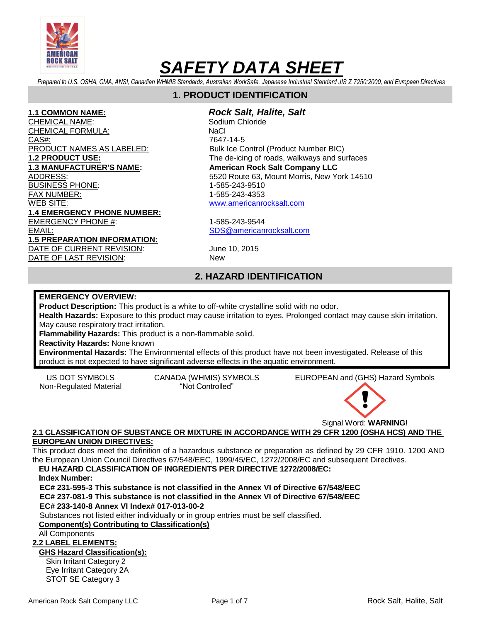

*Prepared to U.S. OSHA, CMA, ANSI, Canadian WHMIS Standards, Australian WorkSafe, Japanese Industrial Standard JIS Z 7250:2000, and European Directives*

# **1. PRODUCT IDENTIFICATION**

CHEMICAL NAME: Sodium Chloride CHEMICAL FORMULA: NaCl CAS#: 7647-14-5 PRODUCT NAMES AS LABELED: Bulk Ice Control (Product Number BIC) **1.3 MANUFACTURER'S NAME:** American Rock Salt Company LLC BUSINESS PHONE: 1-585-243-9510 FAX NUMBER: 1-585-243-4353 WEB SITE: [www.americanrocksalt.com](http://www.americanrocksalt.com/) **1.4 EMERGENCY PHONE NUMBER:** EMERGENCY PHONE #: 1-585-243-9544 EMAIL: [SDS@americanrocksalt.com](mailto:SDS@americanrocksalt.com) **1.5 PREPARATION INFORMATION:** DATE OF CURRENT REVISION: June 10, 2015 DATE OF LAST REVISION: New

# **1.1 COMMON NAME:** *Rock Salt, Halite, Salt*

**1.2 PRODUCT USE:** The de-icing of roads, walkways and surfaces ADDRESS: 5520 Route 63, Mount Morris, New York 14510

# **2. HAZARD IDENTIFICATION**

#### **EMERGENCY OVERVIEW:**

**Product Description:** This product is a white to off-white crystalline solid with no odor.

**Health Hazards:** Exposure to this product may cause irritation to eyes. Prolonged contact may cause skin irritation. May cause respiratory tract irritation.

**Flammability Hazards:** This product is a non-flammable solid.

**Reactivity Hazards:** None known

**Environmental Hazards:** The Environmental effects of this product have not been investigated. Release of this product is not expected to have significant adverse effects in the aquatic environment.

Non-Regulated Material "Not Controlled"

US DOT SYMBOLS CANADA (WHMIS) SYMBOLS EUROPEAN and (GHS) Hazard Symbols



## **2.1 CLASSIFICATION OF SUBSTANCE OR MIXTURE IN ACCORDANCE WITH 29 CFR 1200 (OSHA HCS) AND THE EUROPEAN UNION DIRECTIVES:**

This product does meet the definition of a hazardous substance or preparation as defined by 29 CFR 1910. 1200 AND the European Union Council Directives 67/548/EEC, 1999/45/EC, 1272/2008/EC and subsequent Directives.

# **EU HAZARD CLASSIFICATION OF INGREDIENTS PER DIRECTIVE 1272/2008/EC:**

**Index Number:** 

**EC# 231-595-3 This substance is not classified in the Annex VI of Directive 67/548/EEC EC# 237-081-9 This substance is not classified in the Annex VI of Directive 67/548/EEC EC# 233-140-8 Annex VI Index# 017-013-00-2**

Substances not listed either individually or in group entries must be self classified.

# **Component(s) Contributing to Classification(s)**

All Components

# **2.2 LABEL ELEMENTS:**

# **GHS Hazard Classification(s):**

Skin Irritant Category 2 Eye Irritant Category 2A STOT SE Category 3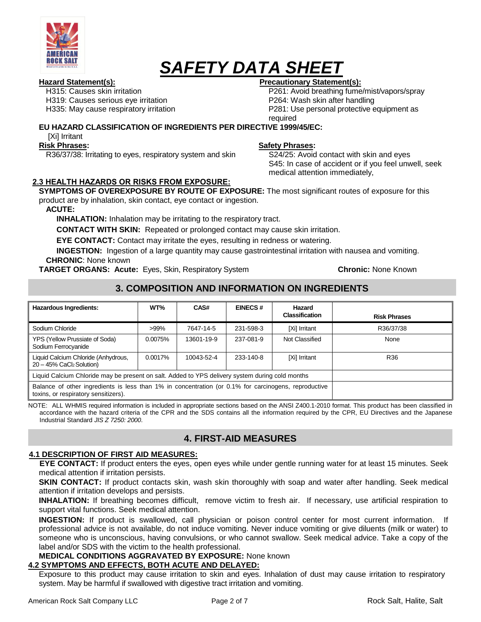

H315: Causes skin irritation H319: Causes serious eye irritation H335: May cause respiratory irritation

# **Hazard Statement(s): Precautionary Statement(s):**

P261: Avoid breathing fume/mist/vapors/spray P264: Wash skin after handling P281: Use personal protective equipment as required

# **EU HAZARD CLASSIFICATION OF INGREDIENTS PER DIRECTIVE 1999/45/EC:**

[Xi] Irritant

#### **Risk Phrases:**

R36/37/38: Irritating to eyes, respiratory system and skin

#### **Safety Phrases:**

S24/25: Avoid contact with skin and eyes S45: In case of accident or if you feel unwell, seek medical attention immediately,

# **2.3 HEALTH HAZARDS OR RISKS FROM EXPOSURE:**

**SYMPTOMS OF OVEREXPOSURE BY ROUTE OF EXPOSURE:** The most significant routes of exposure for this product are by inhalation, skin contact, eye contact or ingestion.

**ACUTE:**

**INHALATION:** Inhalation may be irritating to the respiratory tract.

**CONTACT WITH SKIN:** Repeated or prolonged contact may cause skin irritation.

**EYE CONTACT:** Contact may irritate the eyes, resulting in redness or watering.

**INGESTION:** Ingestion of a large quantity may cause gastrointestinal irritation with nausea and vomiting. **CHRONIC**: None known

**TARGET ORGANS: Acute:** Eyes, Skin, Respiratory System **Chronic:** None Known

# **3. COMPOSITION AND INFORMATION ON INGREDIENTS**

| <b>Hazardous Ingredients:</b>                                                                                                                | WT%     | CAS#       | <b>EINECS#</b> | Hazard<br><b>Classification</b> | <b>Risk Phrases</b> |
|----------------------------------------------------------------------------------------------------------------------------------------------|---------|------------|----------------|---------------------------------|---------------------|
| Sodium Chloride                                                                                                                              | $>99\%$ | 7647-14-5  | 231-598-3      | [Xi] Irritant                   | R36/37/38           |
| YPS (Yellow Prussiate of Soda)<br>Sodium Ferrocyanide                                                                                        | 0.0075% | 13601-19-9 | 237-081-9      | Not Classified                  | None                |
| Liquid Calcium Chloride (Anhydrous,<br>20 - 45% CaCl2 Solution)                                                                              | 0.0017% | 10043-52-4 | 233-140-8      | [Xi] Irritant                   | R36                 |
| Liquid Calcium Chloride may be present on salt. Added to YPS delivery system during cold months                                              |         |            |                |                                 |                     |
| Balance of other ingredients is less than 1% in concentration (or 0.1% for carcinogens, reproductive<br>toxins, or respiratory sensitizers). |         |            |                |                                 |                     |

NOTE: ALL WHMIS required information is included in appropriate sections based on the ANSI Z400.1-2010 format. This product has been classified in accordance with the hazard criteria of the CPR and the SDS contains all the information required by the CPR, EU Directives and the Japanese Industrial Standard *JIS Z 7250: 2000*.

# **4. FIRST-AID MEASURES**

## **4.1 DESCRIPTION OF FIRST AID MEASURES:**

**EYE CONTACT:** If product enters the eyes, open eyes while under gentle running water for at least 15 minutes. Seek medical attention if irritation persists.

**SKIN CONTACT:** If product contacts skin, wash skin thoroughly with soap and water after handling. Seek medical attention if irritation develops and persists.

**INHALATION:** If breathing becomes difficult, remove victim to fresh air. If necessary, use artificial respiration to support vital functions. Seek medical attention.

**INGESTION:** If product is swallowed, call physician or poison control center for most current information. If professional advice is not available, do not induce vomiting. Never induce vomiting or give diluents (milk or water) to someone who is unconscious, having convulsions, or who cannot swallow. Seek medical advice. Take a copy of the label and/or SDS with the victim to the health professional.

**MEDICAL CONDITIONS AGGRAVATED BY EXPOSURE:** None known

# **4.2 SYMPTOMS AND EFFECTS, BOTH ACUTE AND DELAYED:**

Exposure to this product may cause irritation to skin and eyes. Inhalation of dust may cause irritation to respiratory system. May be harmful if swallowed with digestive tract irritation and vomiting.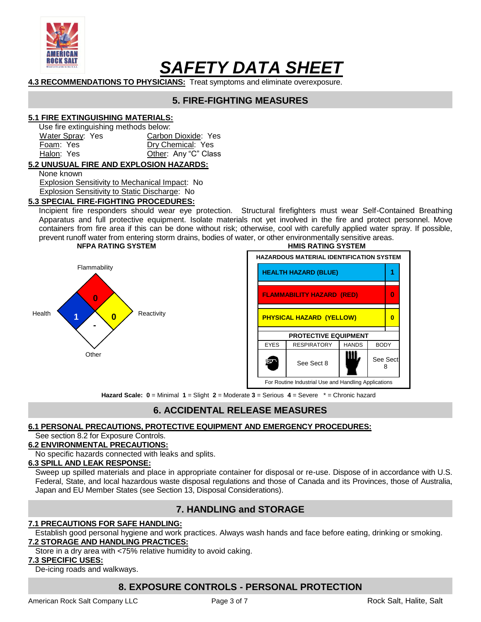

# **4.3 RECOMMENDATIONS TO PHYSICIANS:** Treat symptoms and eliminate overexposure.

# **5. FIRE-FIGHTING MEASURES**

#### **5.1 FIRE EXTINGUISHING MATERIALS:**

Use fire extinguishing methods below:

| Water Spray: Yes | Carbon Dioxide: Yes  |  |  |
|------------------|----------------------|--|--|
| Foam: Yes        | Dry Chemical: Yes    |  |  |
| Halon: Yes       | Other: Any "C" Class |  |  |

#### **5.2 UNUSUAL FIRE AND EXPLOSION HAZARDS:**

None known

Explosion Sensitivity to Mechanical Impact: No Explosion Sensitivity to Static Discharge: No

#### **5.3 SPECIAL FIRE-FIGHTING PROCEDURES:**

Incipient fire responders should wear eye protection. Structural firefighters must wear Self-Contained Breathing Apparatus and full protective equipment. Isolate materials not yet involved in the fire and protect personnel. Move containers from fire area if this can be done without risk; otherwise, cool with carefully applied water spray. If possible, prevent runoff water from entering storm drains, bodies of water, or other environmentally sensitive areas. **NFPA RATING SYSTEM HMIS RATING SYSTEM**





**Hazard Scale: 0** = Minimal **1** = Slight **2** = Moderate **3** = Serious **4** = Severe \* = Chronic hazard

# **6. ACCIDENTAL RELEASE MEASURES**

## **6.1 PERSONAL PRECAUTIONS, PROTECTIVE EQUIPMENT AND EMERGENCY PROCEDURES:**

#### See section 8.2 for Exposure Controls.

#### **6.2 ENVIRONMENTAL PRECAUTIONS:**

No specific hazards connected with leaks and splits.

#### **6.3 SPILL AND LEAK RESPONSE:**

Sweep up spilled materials and place in appropriate container for disposal or re-use. Dispose of in accordance with U.S. Federal, State, and local hazardous waste disposal regulations and those of Canada and its Provinces, those of Australia, Japan and EU Member States (see Section 13, Disposal Considerations).

# **7. HANDLING and STORAGE**

#### **7.1 PRECAUTIONS FOR SAFE HANDLING:**

Establish good personal hygiene and work practices. Always wash hands and face before eating, drinking or smoking. **7.2 STORAGE AND HANDLING PRACTICES:**

Store in a dry area with <75% relative humidity to avoid caking.

#### **7.3 SPECIFIC USES:**

De-icing roads and walkways.

# **8. EXPOSURE CONTROLS - PERSONAL PROTECTION**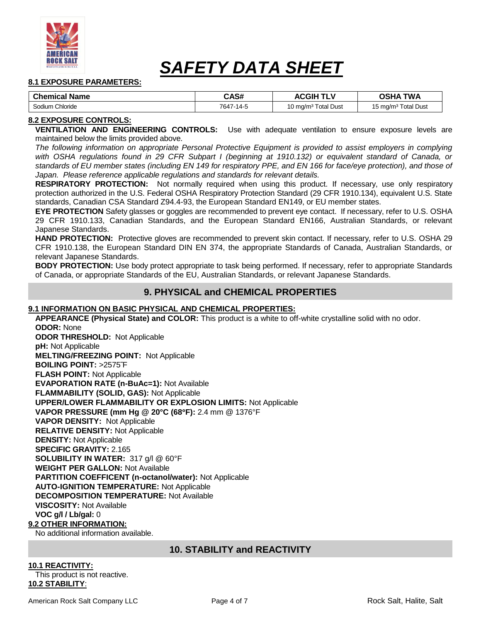

#### **8.1 EXPOSURE PARAMETERS:**

| <b>Chemical Name</b> | CAS#      | <b>ACGIP</b>                    | <b>TWA</b><br>OSHA              |
|----------------------|-----------|---------------------------------|---------------------------------|
| Sodium Chloride      | 7647-14-5 | 10 mg/m <sup>3</sup> Total Dust | 15 mg/m <sup>3</sup> Total Dust |

#### **8.2 EXPOSURE CONTROLS:**

**VENTILATION AND ENGINEERING CONTROLS:** Use with adequate ventilation to ensure exposure levels are maintained below the limits provided above.

*The following information on appropriate Personal Protective Equipment is provided to assist employers in complying*  with OSHA regulations found in 29 CFR Subpart I (beginning at 1910.132) or equivalent standard of Canada, or *standards of EU member states (including EN 149 for respiratory PPE, and EN 166 for face/eye protection), and those of Japan. Please reference applicable regulations and standards for relevant details.*

**RESPIRATORY PROTECTION:** Not normally required when using this product. If necessary, use only respiratory protection authorized in the U.S. Federal OSHA Respiratory Protection Standard (29 CFR 1910.134), equivalent U.S. State standards, Canadian CSA Standard Z94.4-93, the European Standard EN149, or EU member states.

**EYE PROTECTION** Safety glasses or goggles are recommended to prevent eye contact. If necessary, refer to U.S. OSHA 29 CFR 1910.133, Canadian Standards, and the European Standard EN166, Australian Standards, or relevant Japanese Standards.

**HAND PROTECTION:** Protective gloves are recommended to prevent skin contact. If necessary, refer to U.S. OSHA 29 CFR 1910.138, the European Standard DIN EN 374, the appropriate Standards of Canada, Australian Standards, or relevant Japanese Standards.

**BODY PROTECTION:** Use body protect appropriate to task being performed. If necessary, refer to appropriate Standards of Canada, or appropriate Standards of the EU, Australian Standards, or relevant Japanese Standards.

# **9. PHYSICAL and CHEMICAL PROPERTIES**

#### **9.1 INFORMATION ON BASIC PHYSICAL AND CHEMICAL PROPERTIES:**

**APPEARANCE (Physical State) and COLOR:** This product is a white to off-white crystalline solid with no odor. **ODOR:** None **ODOR THRESHOLD:** Not Applicable **pH:** Not Applicable **MELTING/FREEZING POINT:** Not Applicable **BOILING POINT:** >2575˜F **FLASH POINT:** Not Applicable **EVAPORATION RATE (n-BuAc=1):** Not Available **FLAMMABILITY (SOLID, GAS):** Not Applicable **UPPER/LOWER FLAMMABILITY OR EXPLOSION LIMITS:** Not Applicable **VAPOR PRESSURE (mm Hg @ 20°C (68F):** 2.4 mm @ 1376°F **VAPOR DENSITY:** Not Applicable **RELATIVE DENSITY:** Not Applicable **DENSITY:** Not Applicable **SPECIFIC GRAVITY:** 2.165 **SOLUBILITY IN WATER:** 317 g/l @ 60°F **WEIGHT PER GALLON:** Not Available **PARTITION COEFFICENT (n-octanol/water):** Not Applicable **AUTO-IGNITION TEMPERATURE:** Not Applicable **DECOMPOSITION TEMPERATURE:** Not Available **VISCOSITY:** Not Available **VOC g/l / Lb/gal:** 0

#### **9.2 OTHER INFORMATION:**

No additional information available.

# **10. STABILITY and REACTIVITY**

# **10.1 REACTIVITY:**

This product is not reactive. **10.2 STABILITY**: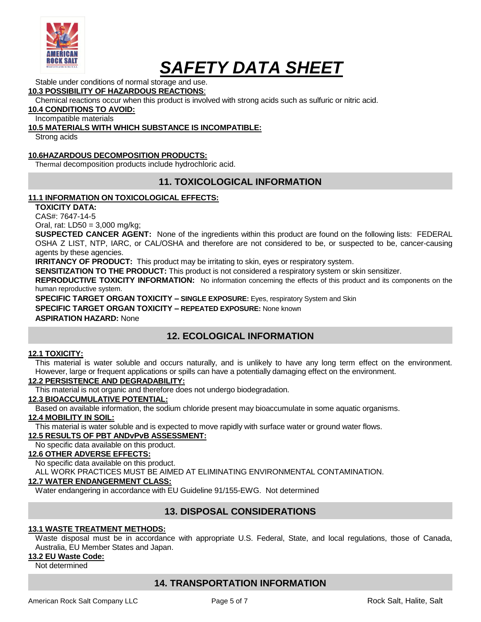

Stable under conditions of normal storage and use. **10.3 POSSIBILITY OF HAZARDOUS REACTIONS**:

Chemical reactions occur when this product is involved with strong acids such as sulfuric or nitric acid.

**10.4 CONDITIONS TO AVOID:**

Incompatible materials

## **10.5 MATERIALS WITH WHICH SUBSTANCE IS INCOMPATIBLE:**

Strong acids

# **10.6HAZARDOUS DECOMPOSITION PRODUCTS:**

Thermal decomposition products include hydrochloric acid.

# **11. TOXICOLOGICAL INFORMATION**

## **11.1 INFORMATION ON TOXICOLOGICAL EFFECTS:**

**TOXICITY DATA:**

CAS#: 7647-14-5

Oral, rat: LD50 = 3,000 mg/kg;

**SUSPECTED CANCER AGENT:** None of the ingredients within this product are found on the following lists: FEDERAL OSHA Z LIST, NTP, IARC, or CAL/OSHA and therefore are not considered to be, or suspected to be, cancer-causing agents by these agencies.

**IRRITANCY OF PRODUCT:** This product may be irritating to skin, eyes or respiratory system.

**SENSITIZATION TO THE PRODUCT:** This product is not considered a respiratory system or skin sensitizer.

**REPRODUCTIVE TOXICITY INFORMATION:** No information concerning the effects of this product and its components on the human reproductive system.

**SPECIFIC TARGET ORGAN TOXICITY – SINGLE EXPOSURE:** Eyes, respiratory System and Skin

**SPECIFIC TARGET ORGAN TOXICITY – REPEATED EXPOSURE:** None known

**ASPIRATION HAZARD:** None

# **12. ECOLOGICAL INFORMATION**

#### **12.1 TOXICITY:**

This material is water soluble and occurs naturally, and is unlikely to have any long term effect on the environment. However, large or frequent applications or spills can have a potentially damaging effect on the environment.

## **12.2 PERSISTENCE AND DEGRADABILITY:**

This material is not organic and therefore does not undergo biodegradation.

## **12.3 BIOACCUMULATIVE POTENTIAL:**

Based on available information, the sodium chloride present may bioaccumulate in some aquatic organisms.

## **12.4 MOBILITY IN SOIL:**

This material is water soluble and is expected to move rapidly with surface water or ground water flows.

# **12.5 RESULTS OF PBT ANDvPvB ASSESSMENT:**

No specific data available on this product.

# **12.6 OTHER ADVERSE EFFECTS:**

No specific data available on this product.

ALL WORK PRACTICES MUST BE AIMED AT ELIMINATING ENVIRONMENTAL CONTAMINATION.

# **12.7 WATER ENDANGERMENT CLASS:**

Water endangering in accordance with EU Guideline 91/155-EWG. Not determined

# **13. DISPOSAL CONSIDERATIONS**

# **13.1 WASTE TREATMENT METHODS:**

Waste disposal must be in accordance with appropriate U.S. Federal, State, and local regulations, those of Canada, Australia, EU Member States and Japan.

# **13.2 EU Waste Code:**

Not determined

# **14. TRANSPORTATION INFORMATION**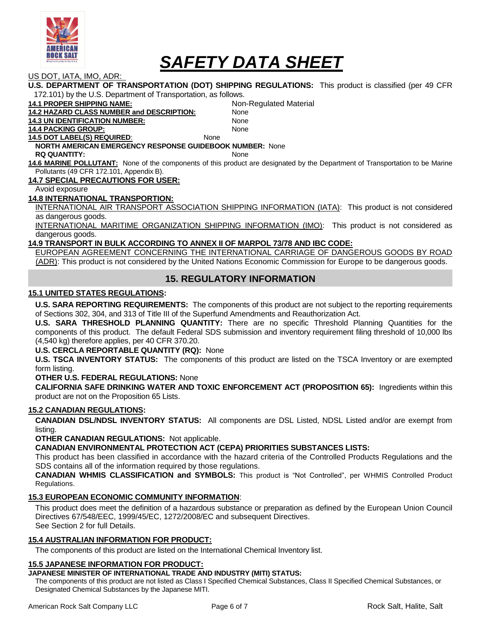

US DOT, IATA, IMO, ADR:

|                                                                                                                               | U.S. DEPARTMENT OF TRANSPORTATION (DOT) SHIPPING REGULATIONS: This product is classified (per 49 CFR              |  |  |  |
|-------------------------------------------------------------------------------------------------------------------------------|-------------------------------------------------------------------------------------------------------------------|--|--|--|
|                                                                                                                               |                                                                                                                   |  |  |  |
| 172.101) by the U.S. Department of Transportation, as follows.                                                                |                                                                                                                   |  |  |  |
| <b>14.1 PROPER SHIPPING NAME:</b>                                                                                             | Non-Regulated Material                                                                                            |  |  |  |
| <b>14.2 HAZARD CLASS NUMBER and DESCRIPTION:</b>                                                                              | None                                                                                                              |  |  |  |
| <b>14.3 UN IDENTIFICATION NUMBER:</b>                                                                                         | None                                                                                                              |  |  |  |
| <b>14.4 PACKING GROUP:</b>                                                                                                    | None                                                                                                              |  |  |  |
| <b>14.5 DOT LABEL(S) REQUIRED:</b><br>None                                                                                    |                                                                                                                   |  |  |  |
| <b>NORTH AMERICAN EMERGENCY RESPONSE GUIDEBOOK NUMBER: None</b>                                                               |                                                                                                                   |  |  |  |
| <b>RQ QUANTITY:</b>                                                                                                           | None                                                                                                              |  |  |  |
| 14.6 MARINE POLLUTANT: None of the components of this product are designated by the Department of Transportation to be Marine |                                                                                                                   |  |  |  |
| Pollutants (49 CFR 172.101, Appendix B).                                                                                      |                                                                                                                   |  |  |  |
| <b>14.7 SPECIAL PRECAUTIONS FOR USER:</b>                                                                                     |                                                                                                                   |  |  |  |
| Avoid exposure                                                                                                                |                                                                                                                   |  |  |  |
| <b>14.8 INTERNATIONAL TRANSPORTION:</b>                                                                                       |                                                                                                                   |  |  |  |
|                                                                                                                               | INTERNATIONAL AIR TRANSPORT ASSOCIATION SHIPPING INFORMATION (IATA): This product is not considered               |  |  |  |
| as dangerous goods.                                                                                                           |                                                                                                                   |  |  |  |
|                                                                                                                               | INTERNATIONAL MARITIME ORGANIZATION SHIPPING INFORMATION (IMO): This product is not considered as                 |  |  |  |
| dangerous goods.                                                                                                              |                                                                                                                   |  |  |  |
| 14.9 TRANSPORT IN BULK ACCORDING TO ANNEX II OF MARPOL 73/78 AND IBC CODE:                                                    |                                                                                                                   |  |  |  |
| EUROPEAN AGREEMENT CONCERNING THE INTERNATIONAL CARRIAGE OF DANGEROUS GOODS BY ROAD                                           |                                                                                                                   |  |  |  |
|                                                                                                                               | (ADR): This product is not considered by the United Nations Economic Commission for Europe to be dangerous goods. |  |  |  |

# **15. REGULATORY INFORMATION**

#### **15.1 UNITED STATES REGULATIONS:**

**U.S. SARA REPORTING REQUIREMENTS:** The components of this product are not subject to the reporting requirements of Sections 302, 304, and 313 of Title III of the Superfund Amendments and Reauthorization Act.

**U.S. SARA THRESHOLD PLANNING QUANTITY:** There are no specific Threshold Planning Quantities for the components of this product. The default Federal SDS submission and inventory requirement filing threshold of 10,000 lbs (4,540 kg) therefore applies, per 40 CFR 370.20.

#### **U.S. CERCLA REPORTABLE QUANTITY (RQ):** None

**U.S. TSCA INVENTORY STATUS:** The components of this product are listed on the TSCA Inventory or are exempted form listing.

#### **OTHER U.S. FEDERAL REGULATIONS:** None

**CALIFORNIA SAFE DRINKING WATER AND TOXIC ENFORCEMENT ACT (PROPOSITION 65):** Ingredients within this product are not on the Proposition 65 Lists.

#### **15.2 CANADIAN REGULATIONS:**

**CANADIAN DSL/NDSL INVENTORY STATUS:** All components are DSL Listed, NDSL Listed and/or are exempt from listing.

**OTHER CANADIAN REGULATIONS:** Not applicable.

**CANADIAN ENVIRONMENTAL PROTECTION ACT (CEPA) PRIORITIES SUBSTANCES LISTS:**

This product has been classified in accordance with the hazard criteria of the Controlled Products Regulations and the SDS contains all of the information required by those regulations.

**CANADIAN WHMIS CLASSIFICATION and SYMBOLS:** This product is "Not Controlled", per WHMIS Controlled Product Regulations.

#### **15.3 EUROPEAN ECONOMIC COMMUNITY INFORMATION**:

This product does meet the definition of a hazardous substance or preparation as defined by the European Union Council Directives 67/548/EEC, 1999/45/EC, 1272/2008/EC and subsequent Directives. See Section 2 for full Details.

## **15.4 AUSTRALIAN INFORMATION FOR PRODUCT:**

The components of this product are listed on the International Chemical Inventory list.

#### **15.5 JAPANESE INFORMATION FOR PRODUCT:**

#### **JAPANESE MINISTER OF INTERNATIONAL TRADE AND INDUSTRY (MITI) STATUS:**

The components of this product are not listed as Class I Specified Chemical Substances, Class II Specified Chemical Substances, or Designated Chemical Substances by the Japanese MITI.